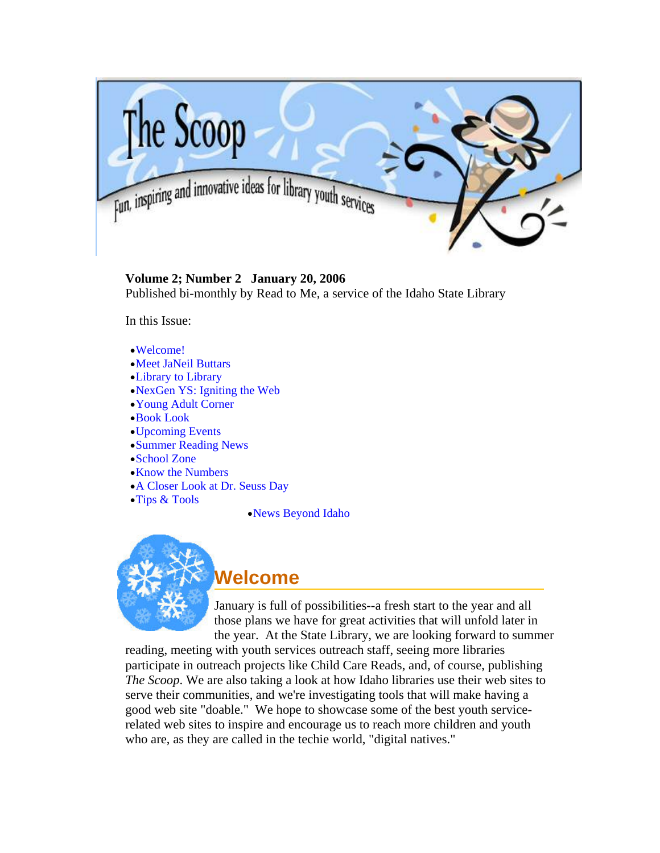<span id="page-0-0"></span>

**Volume 2; Number 2 January 20, 2006** Published bi-monthly by Read to Me, a service of the Idaho State Library

In this Issue:

- •[Welcome!](#page-0-0)
- •[Meet JaNeil Buttars](#page-1-0)
- •[Library to Library](#page-2-0)
- •[NexGen YS: Igniting the Web](#page-3-0)
- •[Young Adult Corner](#page-5-0)
- •[Book Look](#page-5-0)
- •[Upcoming Events](#page-7-0)
- •[Summer Reading News](#page-8-0)
- •[School Zone](#page-11-0)
- •[Know the Numbers](#page-12-0)
- •[A Closer Look at Dr. Seuss Day](#page-12-0)
- •[Tips & Tools](#page-13-0)
- •[News Beyond Idaho](#page-14-0)



**Welcome** 

January is full of possibilities--a fresh start to the year and all those plans we have for great activities that will unfold later in the year. At the State Library, we are looking forward to summer

reading, meeting with youth services outreach staff, seeing more libraries participate in outreach projects like Child Care Reads, and, of course, publishing *The Scoop*. We are also taking a look at how Idaho libraries use their web sites to serve their communities, and we're investigating tools that will make having a good web site "doable." We hope to showcase some of the best youth servicerelated web sites to inspire and encourage us to reach more children and youth who are, as they are called in the techie world, "digital natives."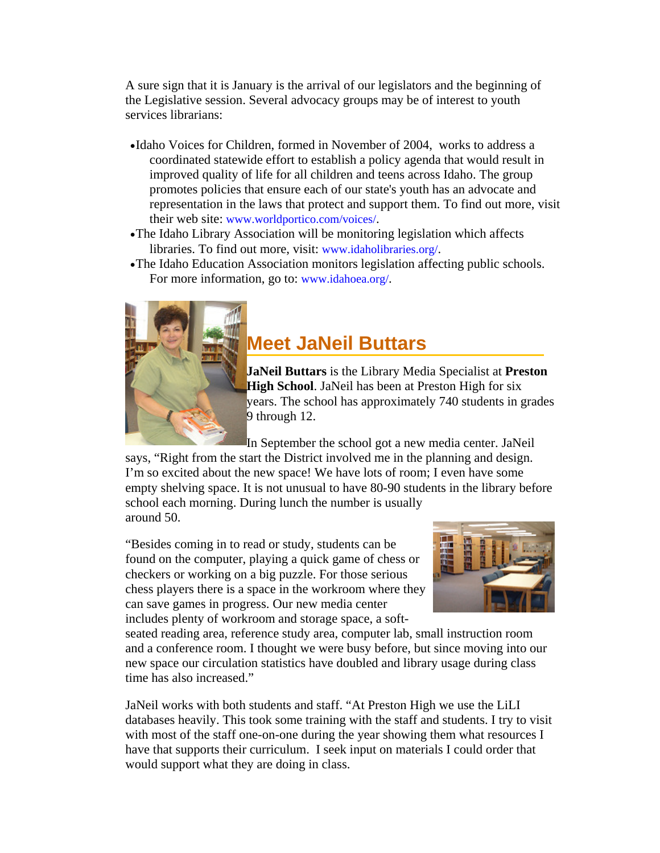<span id="page-1-0"></span>A sure sign that it is January is the arrival of our legislators and the beginning of the Legislative session. Several advocacy groups may be of interest to youth services librarians:

- •Idaho Voices for Children, formed in November of 2004, works to address a coordinated statewide effort to establish a policy agenda that would result in improved quality of life for all children and teens across Idaho. The group promotes policies that ensure each of our state's youth has an advocate and representation in the laws that protect and support them. To find out more, visit their web site: [www.worldportico.com/voices/](http://www.worldportico.com/voices/).
- •The Idaho Library Association will be monitoring legislation which affects libraries. To find out more, visit: [www.idaholibraries.org/](http://www.idaholibraries.org/).
- •The Idaho Education Association monitors legislation affecting public schools. For more information, go to: [www.idahoea.org/.](http://www.idahoea.org/)



I

## **Meet JaNeil Buttars**

**JaNeil Buttars** is the Library Media Specialist at **Preston High School**. JaNeil has been at Preston High for six years. The school has approximately 740 students in grades 9 through 12.

In September the school got a new media center. JaNeil says, "Right from the start the District involved me in the planning and design. I'm so excited about the new space! We have lots of room; I even have some empty shelving space. It is not unusual to have 80-90 students in the library before school each morning. During lunch the number is usually around 50.

"Besides coming in to read or study, students can be found on the computer, playing a quick game of chess or checkers or working on a big puzzle. For those serious chess players there is a space in the workroom where they can save games in progress. Our new media center includes plenty of workroom and storage space, a soft-



seated reading area, reference study area, computer lab, small instruction room and a conference room. I thought we were busy before, but since moving into our new space our circulation statistics have doubled and library usage during class time has also increased."

JaNeil works with both students and staff. "At Preston High we use the LiLI databases heavily. This took some training with the staff and students. I try to visit with most of the staff one-on-one during the year showing them what resources I have that supports their curriculum. I seek input on materials I could order that would support what they are doing in class.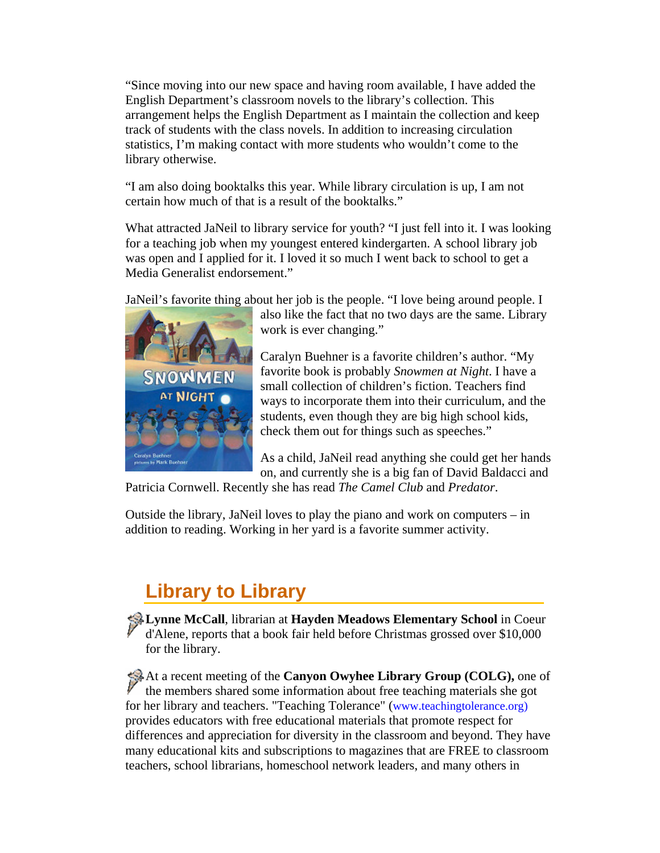<span id="page-2-0"></span>"Since moving into our new space and having room available, I have added the English Department's classroom novels to the library's collection. This arrangement helps the English Department as I maintain the collection and keep track of students with the class novels. In addition to increasing circulation statistics, I'm making contact with more students who wouldn't come to the library otherwise.

"I am also doing booktalks this year. While library circulation is up, I am not certain how much of that is a result of the booktalks."

What attracted JaNeil to library service for youth? "I just fell into it. I was looking for a teaching job when my youngest entered kindergarten. A school library job was open and I applied for it. I loved it so much I went back to school to get a Media Generalist endorsement."

JaNeil's favorite thing about her job is the people. "I love being around people. I



also like the fact that no two days are the same. Library work is ever changing."

Caralyn Buehner is a favorite children's author. "My favorite book is probably *Snowmen at Night*. I have a small collection of children's fiction. Teachers find ways to incorporate them into their curriculum, and the students, even though they are big high school kids, check them out for things such as speeches."

As a child, JaNeil read anything she could get her hands on, and currently she is a big fan of David Baldacci and

Patricia Cornwell. Recently she has read *The Camel Club* and *Predator*.

Outside the library, JaNeil loves to play the piano and work on computers – in addition to reading. Working in her yard is a favorite summer activity.

# **Library to Library**

**Lynne McCall**, librarian at **Hayden Meadows Elementary School** in Coeur d'Alene, reports that a book fair held before Christmas grossed over \$10,000 for the library.

At a recent meeting of the **Canyon Owyhee Library Group (COLG),** one of the members shared some information about free teaching materials she got for her library and teachers. "Teaching Tolerance" ([www.teachingtolerance.org\)](http://www.teachingtolerance.org/) provides educators with free educational materials that promote respect for differences and appreciation for diversity in the classroom and beyond. They have many educational kits and subscriptions to magazines that are FREE to classroom teachers, school librarians, homeschool network leaders, and many others in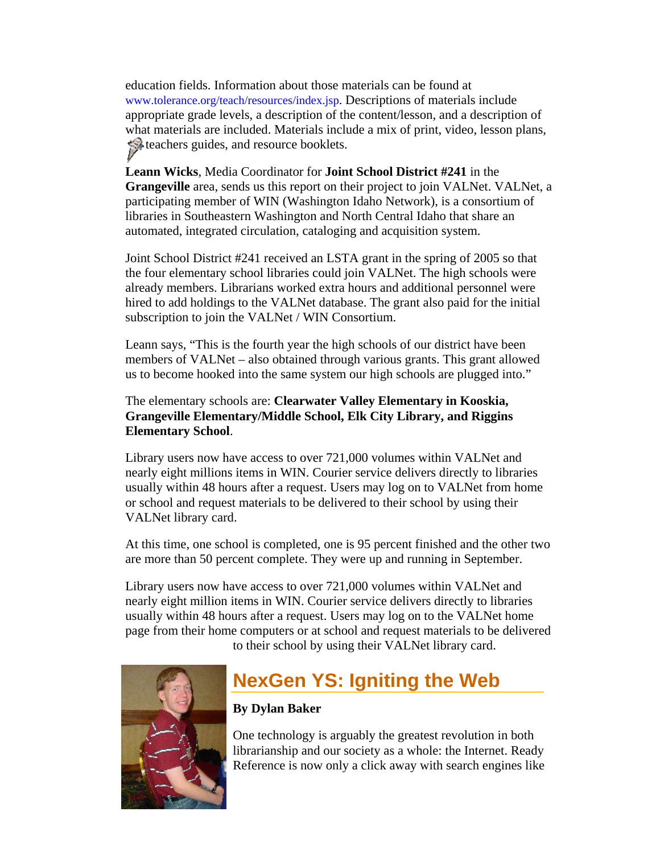<span id="page-3-0"></span>education fields. Information about those materials can be found at [www.tolerance.org/teach/resources/index.jsp.](http://www.tolerance.org/teach/resources/index.jsp) Descriptions of materials include appropriate grade levels, a description of the content/lesson, and a description of what materials are included. Materials include a mix of print, video, lesson plans, teachers guides, and resource booklets.

**Leann Wicks**, Media Coordinator for **Joint School District #241** in the **Grangeville** area, sends us this report on their project to join VALNet. VALNet, a participating member of WIN (Washington Idaho Network), is a consortium of libraries in Southeastern Washington and North Central Idaho that share an automated, integrated circulation, cataloging and acquisition system.

Joint School District #241 received an LSTA grant in the spring of 2005 so that the four elementary school libraries could join VALNet. The high schools were already members. Librarians worked extra hours and additional personnel were hired to add holdings to the VALNet database. The grant also paid for the initial subscription to join the VALNet / WIN Consortium.

Leann says, "This is the fourth year the high schools of our district have been members of VALNet – also obtained through various grants. This grant allowed us to become hooked into the same system our high schools are plugged into."

#### The elementary schools are: **Clearwater Valley Elementary in Kooskia, Grangeville Elementary/Middle School, Elk City Library, and Riggins Elementary School**.

Library users now have access to over 721,000 volumes within VALNet and nearly eight millions items in WIN. Courier service delivers directly to libraries usually within 48 hours after a request. Users may log on to VALNet from home or school and request materials to be delivered to their school by using their VALNet library card.

At this time, one school is completed, one is 95 percent finished and the other two are more than 50 percent complete. They were up and running in September.

Library users now have access to over 721,000 volumes within VALNet and nearly eight million items in WIN. Courier service delivers directly to libraries usually within 48 hours after a request. Users may log on to the VALNet home page from their home computers or at school and request materials to be delivered to their school by using their VALNet library card.



## **NexGen YS: Igniting the Web**

### **By Dylan Baker**

One technology is arguably the greatest revolution in both librarianship and our society as a whole: the Internet. Ready Reference is now only a click away with search engines like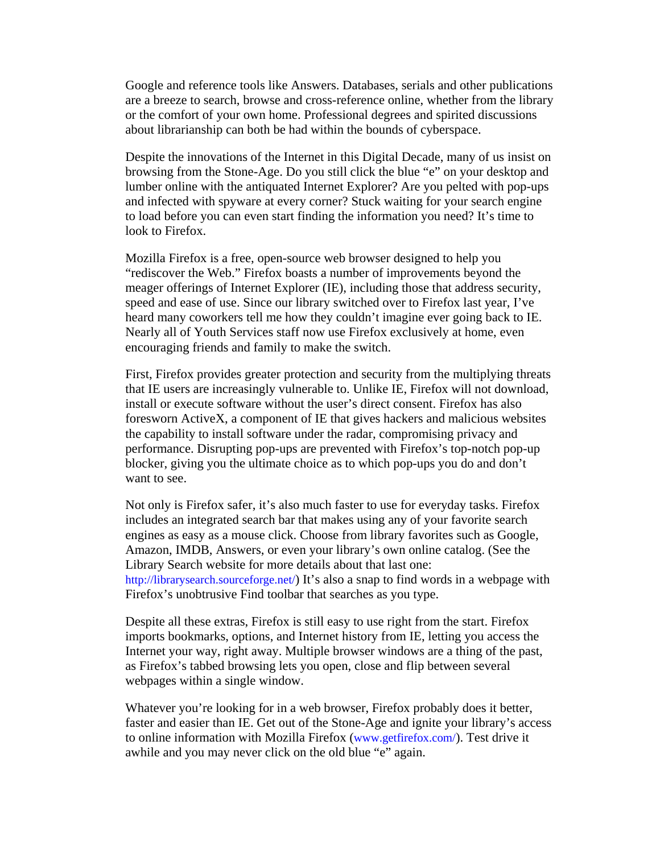Google and reference tools like Answers. Databases, serials and other publications are a breeze to search, browse and cross-reference online, whether from the library or the comfort of your own home. Professional degrees and spirited discussions about librarianship can both be had within the bounds of cyberspace.

Despite the innovations of the Internet in this Digital Decade, many of us insist on browsing from the Stone-Age. Do you still click the blue "e" on your desktop and lumber online with the antiquated Internet Explorer? Are you pelted with pop-ups and infected with spyware at every corner? Stuck waiting for your search engine to load before you can even start finding the information you need? It's time to look to Firefox.

Mozilla Firefox is a free, open-source web browser designed to help you "rediscover the Web." Firefox boasts a number of improvements beyond the meager offerings of Internet Explorer (IE), including those that address security, speed and ease of use. Since our library switched over to Firefox last year, I've heard many coworkers tell me how they couldn't imagine ever going back to IE. Nearly all of Youth Services staff now use Firefox exclusively at home, even encouraging friends and family to make the switch.

First, Firefox provides greater protection and security from the multiplying threats that IE users are increasingly vulnerable to. Unlike IE, Firefox will not download, install or execute software without the user's direct consent. Firefox has also foresworn ActiveX, a component of IE that gives hackers and malicious websites the capability to install software under the radar, compromising privacy and performance. Disrupting pop-ups are prevented with Firefox's top-notch pop-up blocker, giving you the ultimate choice as to which pop-ups you do and don't want to see.

Not only is Firefox safer, it's also much faster to use for everyday tasks. Firefox includes an integrated search bar that makes using any of your favorite search engines as easy as a mouse click. Choose from library favorites such as Google, Amazon, IMDB, Answers, or even your library's own online catalog. (See the Library Search website for more details about that last one: [http://librarysearch.sourceforge.net/\)](http://librarysearch.sourceforge.net/) It's also a snap to find words in a webpage with Firefox's unobtrusive Find toolbar that searches as you type.

Despite all these extras, Firefox is still easy to use right from the start. Firefox imports bookmarks, options, and Internet history from IE, letting you access the Internet your way, right away. Multiple browser windows are a thing of the past, as Firefox's tabbed browsing lets you open, close and flip between several webpages within a single window.

Whatever you're looking for in a web browser, Firefox probably does it better, faster and easier than IE. Get out of the Stone-Age and ignite your library's access to online information with Mozilla Firefox [\(www.getfirefox.com/\)](http://www.getfirefox.com/). Test drive it awhile and you may never click on the old blue "e" again.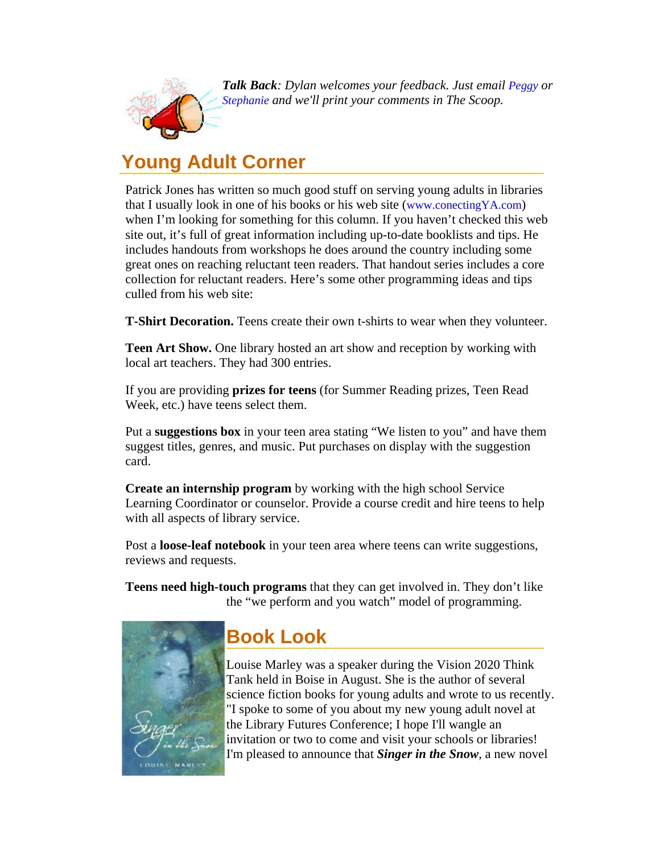<span id="page-5-0"></span>

**Talk Back**: Dylan welcomes your feedback. Just email [Peggy](mailto:peggy.mcclendon@libraries.idaho.gov) or *[Stephanie](mailto:stephanie.bailey-white@libraries.idaho.gov) and we'll print your comments in The Scoop.*

## **Young Adult Corner**

Patrick Jones has written so much good stuff on serving young adults in libraries that I usually look in one of his books or his web site [\(www.conectingYA.com](http://www.connectingya.com/)) when I'm looking for something for this column. If you haven't checked this web site out, it's full of great information including up-to-date booklists and tips. He includes handouts from workshops he does around the country including some great ones on reaching reluctant teen readers. That handout series includes a core collection for reluctant readers. Here's some other programming ideas and tips culled from his web site:

**T-Shirt Decoration.** Teens create their own t-shirts to wear when they volunteer.

**Teen Art Show.** One library hosted an art show and reception by working with local art teachers. They had 300 entries.

If you are providing **prizes for teens** (for Summer Reading prizes, Teen Read Week, etc.) have teens select them.

Put a **suggestions box** in your teen area stating "We listen to you" and have them suggest titles, genres, and music. Put purchases on display with the suggestion card.

**Create an internship program** by working with the high school Service Learning Coordinator or counselor. Provide a course credit and hire teens to help with all aspects of library service.

Post a **loose-leaf notebook** in your teen area where teens can write suggestions, reviews and requests.

**Teens need high-touch programs** that they can get involved in. They don't like the "we perform and you watch" model of programming.



# **Book Look**

Louise Marley was a speaker during the Vision 2020 Think Tank held in Boise in August. She is the author of several science fiction books for young adults and wrote to us recently. "I spoke to some of you about my new young adult novel at the Library Futures Conference; I hope I'll wangle an invitation or two to come and visit your schools or libraries! I'm pleased to announce that *Singer in the Snow*, a new novel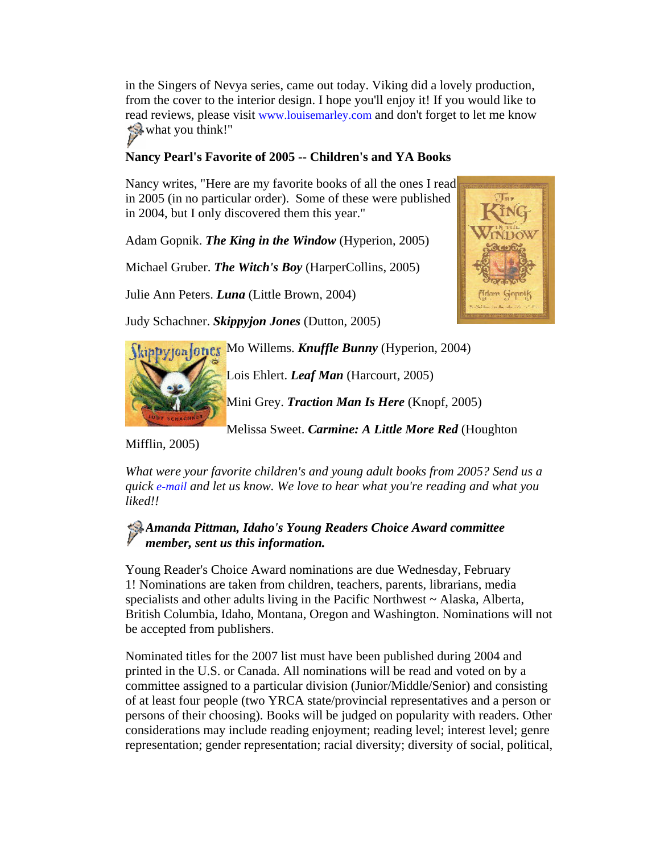in the Singers of Nevya series, came out today. Viking did a lovely production, from the cover to the interior design. I hope you'll enjoy it! If you would like to read reviews, please visit [www.louisemarley.com](http://www.louisemarley.com/) and don't forget to let me know what you think!"

#### **Nancy Pearl's Favorite of 2005 -- Children's and YA Books**

Nancy writes, "Here are my favorite books of all the ones I read in 2005 (in no particular order). Some of these were published in 2004, but I only discovered them this year."

Adam Gopnik. *The King in the Window* (Hyperion, 2005)

Michael Gruber. *The Witch's Boy* (HarperCollins, 2005)

Julie Ann Peters. *Luna* (Little Brown, 2004)

Judy Schachner. *Skippyjon Jones* (Dutton, 2005)



| ippyton other Mo Willems. Knuffle Bunny (Hyperion, 2004) |
|----------------------------------------------------------|
|----------------------------------------------------------|

Lois Ehlert. *Leaf Man* (Harcourt, 2005)

Mini Grey. *Traction Man Is Here* (Knopf, 2005)

Melissa Sweet. *Carmine: A Little More Red* (Houghton

Mifflin, 2005)

*What were your favorite children's and young adult books from 2005? Send us a quick [e-mail](mailto:stephanie.bailey-white@libraries.idaho.gov) and let us know. We love to hear what you're reading and what you liked!!*

### *Amanda Pittman, Idaho's Young Readers Choice Award committee member, sent us this information.*

Young Reader's Choice Award nominations are due Wednesday, February 1! Nominations are taken from children, teachers, parents, librarians, media specialists and other adults living in the Pacific Northwest  $\sim$  Alaska, Alberta, British Columbia, Idaho, Montana, Oregon and Washington. Nominations will not be accepted from publishers.

Nominated titles for the 2007 list must have been published during 2004 and printed in the U.S. or Canada. All nominations will be read and voted on by a committee assigned to a particular division (Junior/Middle/Senior) and consisting of at least four people (two YRCA state/provincial representatives and a person or persons of their choosing). Books will be judged on popularity with readers. Other considerations may include reading enjoyment; reading level; interest level; genre representation; gender representation; racial diversity; diversity of social, political,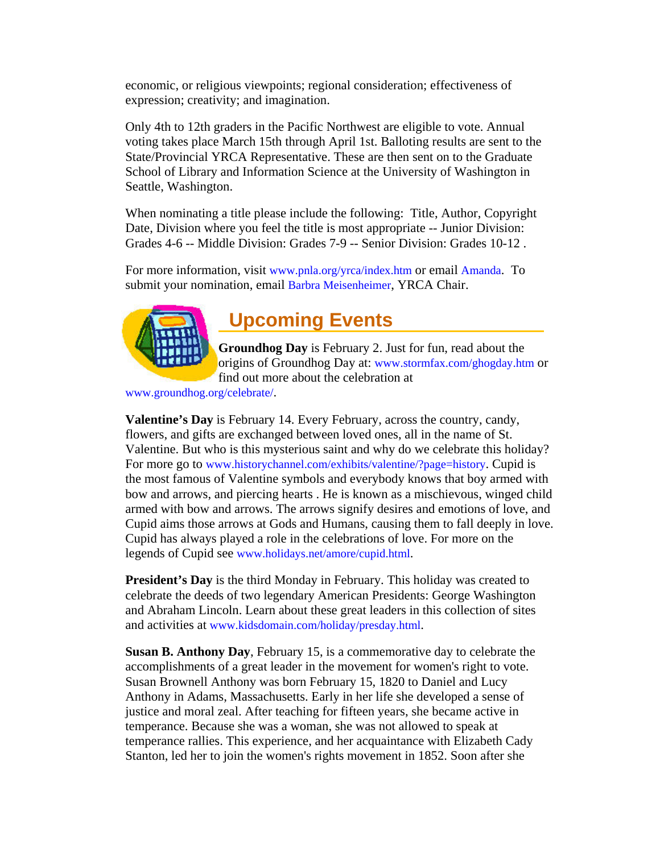<span id="page-7-0"></span>economic, or religious viewpoints; regional consideration; effectiveness of expression; creativity; and imagination.

Only 4th to 12th graders in the Pacific Northwest are eligible to vote. Annual voting takes place March 15th through April 1st. Balloting results are sent to the State/Provincial YRCA Representative. These are then sent on to the Graduate School of Library and Information Science at the University of Washington in Seattle, Washington.

When nominating a title please include the following: Title, Author, Copyright Date, Division where you feel the title is most appropriate -- Junior Division: Grades 4-6 -- Middle Division: Grades 7-9 -- Senior Division: Grades 10-12 .

For more information, visit [www.pnla.org/yrca/index.htm](http://www.pnla.org/yrca/index.htm) or email [Amanda](mailto:pittman@adalib.org). To submit your nomination, email [Barbra Meisenheimer,](mailto:bmeisenheimer@fvrl.org) YRCA Chair.



## **Upcoming Events**

**Groundhog Day** is February 2. Just for fun, read about the origins of Groundhog Day at: [www.stormfax.com/ghogday.htm](http://www.stormfax.com/ghogday.htm) or find out more about the celebration at

[www.groundhog.org/celebrate/.](http://www.groundhog.org/celebrate/)

**Valentine's Day** is February 14. Every February, across the country, candy, flowers, and gifts are exchanged between loved ones, all in the name of St. Valentine. But who is this mysterious saint and why do we celebrate this holiday? For more go to [www.historychannel.com/exhibits/valentine/?page=history.](http://www.historychannel.com/exhibits/valentine/?page=history) Cupid is the most famous of Valentine symbols and everybody knows that boy armed with bow and arrows, and piercing hearts . He is known as a mischievous, winged child armed with bow and arrows. The arrows signify desires and emotions of love, and Cupid aims those arrows at Gods and Humans, causing them to fall deeply in love. Cupid has always played a role in the celebrations of love. For more on the legends of Cupid see [www.holidays.net/amore/cupid.html.](http://www.holidays.net/amore/cupid.html)

**President's Day** is the third Monday in February. This holiday was created to celebrate the deeds of two legendary American Presidents: George Washington and Abraham Lincoln. Learn about these great leaders in this collection of sites and activities at [www.kidsdomain.com/holiday/presday.html](http://www.kidsdomain.com/holiday/presday.html).

**Susan B. Anthony Day**, February 15, is a commemorative day to celebrate the accomplishments of a great leader in the movement for women's right to vote. Susan Brownell Anthony was born February 15, 1820 to Daniel and Lucy Anthony in Adams, Massachusetts. Early in her life she developed a sense of justice and moral zeal. After teaching for fifteen years, she became active in temperance. Because she was a woman, she was not allowed to speak at temperance rallies. This experience, and her acquaintance with Elizabeth Cady Stanton, led her to join the women's rights movement in 1852. Soon after she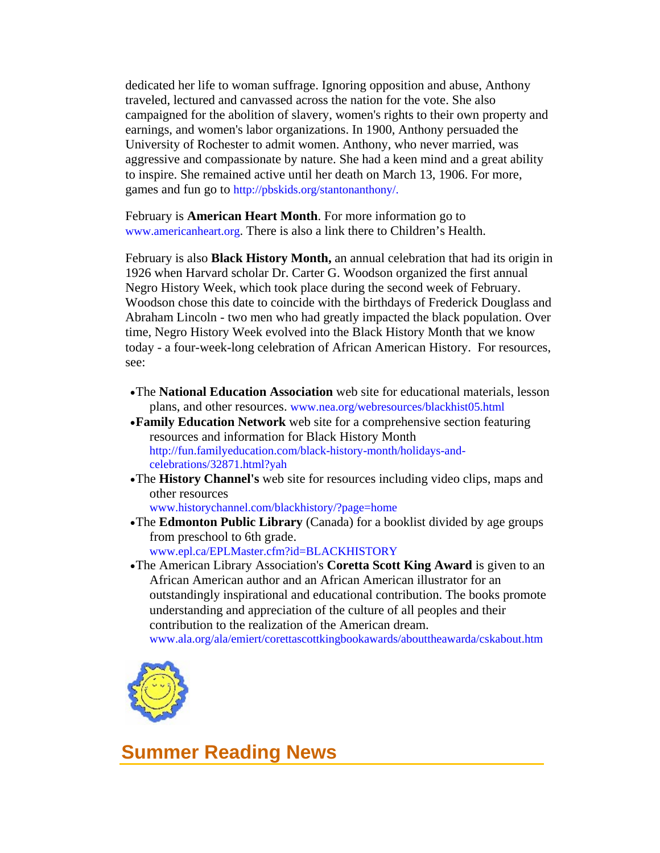<span id="page-8-0"></span>dedicated her life to woman suffrage. Ignoring opposition and abuse, Anthony traveled, lectured and canvassed across the nation for the vote. She also campaigned for the abolition of slavery, women's rights to their own property and earnings, and women's labor organizations. In 1900, Anthony persuaded the University of Rochester to admit women. Anthony, who never married, was aggressive and compassionate by nature. She had a keen mind and a great ability to inspire. She remained active until her death on March 13, 1906. For more, games and fun go to [http://pbskids.org/stantonanthony/.](http://pbskids.org/stantonanthony/)

February is **American Heart Month**. For more information go to [www.americanheart.org.](http://www.americanheart.org/) There is also a link there to Children's Health.

February is also **Black History Month,** an annual celebration that had its origin in 1926 when Harvard scholar Dr. Carter G. Woodson organized the first annual Negro History Week, which took place during the second week of February. Woodson chose this date to coincide with the birthdays of Frederick Douglass and Abraham Lincoln - two men who had greatly impacted the black population. Over time, Negro History Week evolved into the Black History Month that we know today - a four-week-long celebration of African American History. For resources, see:

- •The **National Education Association** web site for educational materials, lesson plans, and other resources. [www.nea.org/webresources/blackhist05.html](http://www.nea.org/webresources/blackhist05.html)
- •**Family Education Network** web site for a comprehensive section featuring resources and information for Black History Month [http://fun.familyeducation.com/black-history-month/holidays-and](http://fun.familyeducation.com/black-history-month/holidays-and-celebrations/32871.html?yah)[celebrations/32871.html?yah](http://fun.familyeducation.com/black-history-month/holidays-and-celebrations/32871.html?yah)
- •The **History Channel's** web site for resources including video clips, maps and other resources

[www.historychannel.com/blackhistory/?page=home](http://www.historychannel.com/blackhistory/?page=home)

- •The **Edmonton Public Library** (Canada) for a booklist divided by age groups from preschool to 6th grade. [www.epl.ca/EPLMaster.cfm?id=BLACKHISTORY](http://www.epl.ca/EPLMaster.cfm?id=BLACKHISTORY)
- •The American Library Association's **Coretta Scott King Award** is given to an African American author and an African American illustrator for an outstandingly inspirational and educational contribution. The books promote understanding and appreciation of the culture of all peoples and their contribution to the realization of the American dream.





### **Summer Reading News**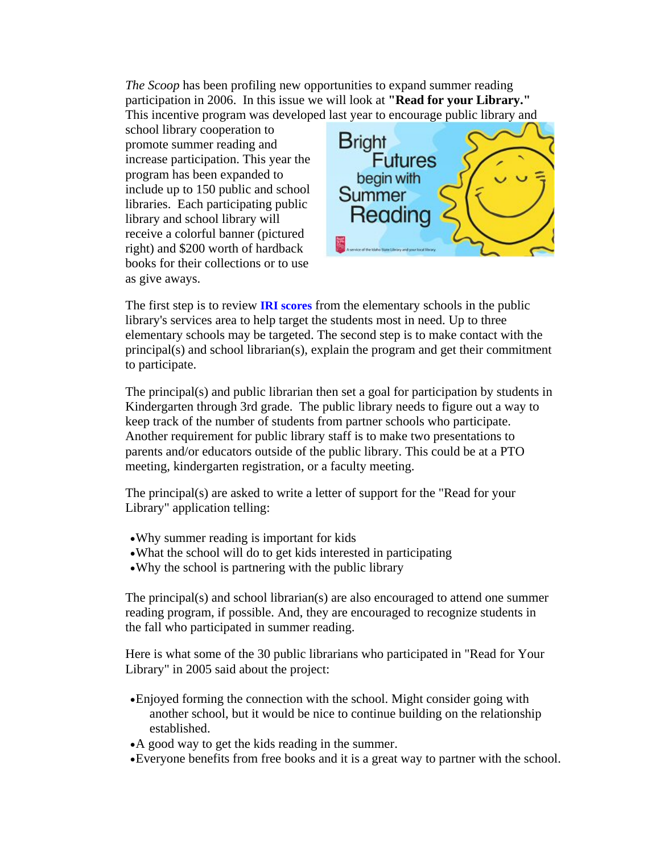*The Scoop* has been profiling new opportunities to expand summer reading participation in 2006. In this issue we will look at **"Read for your Library."**  This incentive program was developed last year to encourage public library and

school library cooperation to promote summer reading and increase participation. This year the program has been expanded to include up to 150 public and school libraries. Each participating public library and school library will receive a colorful banner (pictured right) and \$200 worth of hardback books for their collections or to use as give aways.



The first step is to review **[IRI scores](http://www.sde.state.id.us/iri/iristats/IRIAnalysis.asp)** from the elementary schools in the public library's services area to help target the students most in need. Up to three elementary schools may be targeted. The second step is to make contact with the principal(s) and school librarian(s), explain the program and get their commitment to participate.

The principal(s) and public librarian then set a goal for participation by students in Kindergarten through 3rd grade. The public library needs to figure out a way to keep track of the number of students from partner schools who participate. Another requirement for public library staff is to make two presentations to parents and/or educators outside of the public library. This could be at a PTO meeting, kindergarten registration, or a faculty meeting.

The principal(s) are asked to write a letter of support for the "Read for your Library" application telling:

- •Why summer reading is important for kids
- •What the school will do to get kids interested in participating
- •Why the school is partnering with the public library

The principal(s) and school librarian(s) are also encouraged to attend one summer reading program, if possible. And, they are encouraged to recognize students in the fall who participated in summer reading.

Here is what some of the 30 public librarians who participated in "Read for Your Library" in 2005 said about the project:

- •Enjoyed forming the connection with the school. Might consider going with another school, but it would be nice to continue building on the relationship established.
- •A good way to get the kids reading in the summer.
- •Everyone benefits from free books and it is a great way to partner with the school.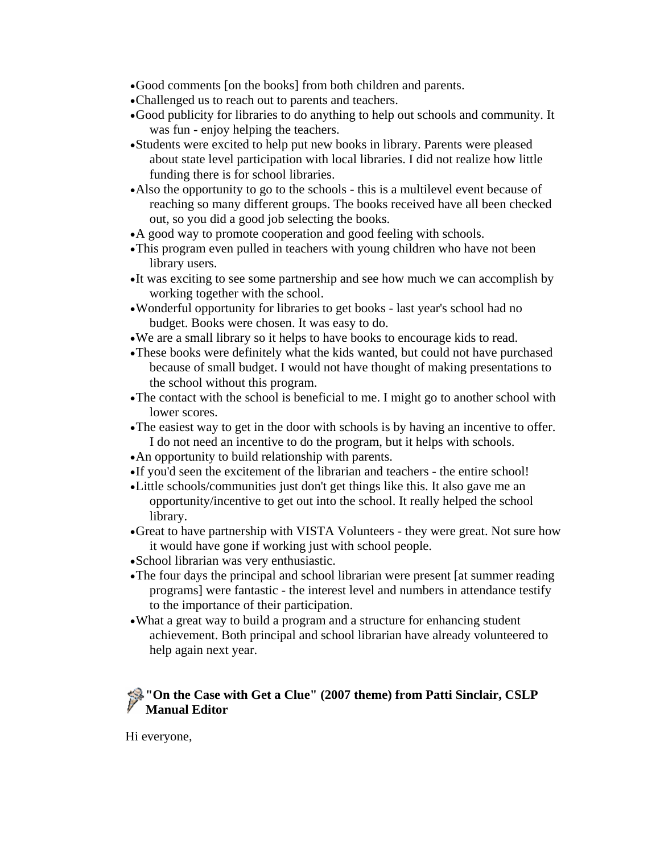- •Good comments [on the books] from both children and parents.
- •Challenged us to reach out to parents and teachers.
- •Good publicity for libraries to do anything to help out schools and community. It was fun - enjoy helping the teachers.
- •Students were excited to help put new books in library. Parents were pleased about state level participation with local libraries. I did not realize how little funding there is for school libraries.
- •Also the opportunity to go to the schools this is a multilevel event because of reaching so many different groups. The books received have all been checked out, so you did a good job selecting the books.
- •A good way to promote cooperation and good feeling with schools.
- •This program even pulled in teachers with young children who have not been library users.
- •It was exciting to see some partnership and see how much we can accomplish by working together with the school.
- •Wonderful opportunity for libraries to get books last year's school had no budget. Books were chosen. It was easy to do.
- •We are a small library so it helps to have books to encourage kids to read.
- •These books were definitely what the kids wanted, but could not have purchased because of small budget. I would not have thought of making presentations to the school without this program.
- •The contact with the school is beneficial to me. I might go to another school with lower scores.
- •The easiest way to get in the door with schools is by having an incentive to offer. I do not need an incentive to do the program, but it helps with schools.
- •An opportunity to build relationship with parents.
- •If you'd seen the excitement of the librarian and teachers the entire school!
- •Little schools/communities just don't get things like this. It also gave me an opportunity/incentive to get out into the school. It really helped the school library.
- •Great to have partnership with VISTA Volunteers they were great. Not sure how it would have gone if working just with school people.
- •School librarian was very enthusiastic.
- •The four days the principal and school librarian were present [at summer reading programs] were fantastic - the interest level and numbers in attendance testify to the importance of their participation.
- •What a great way to build a program and a structure for enhancing student achievement. Both principal and school librarian have already volunteered to help again next year.

### **"On the Case with Get a Clue" (2007 theme) from Patti Sinclair, CSLP Manual Editor**

Hi everyone,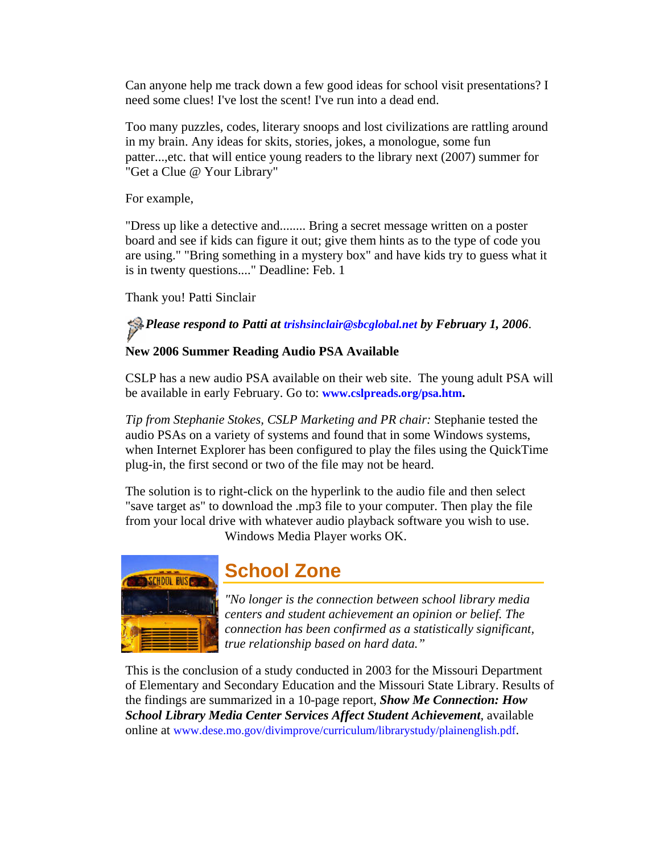<span id="page-11-0"></span>Can anyone help me track down a few good ideas for school visit presentations? I need some clues! I've lost the scent! I've run into a dead end.

Too many puzzles, codes, literary snoops and lost civilizations are rattling around in my brain. Any ideas for skits, stories, jokes, a monologue, some fun patter...,etc. that will entice young readers to the library next (2007) summer for "Get a Clue @ Your Library"

For example,

"Dress up like a detective and........ Bring a secret message written on a poster board and see if kids can figure it out; give them hints as to the type of code you are using." "Bring something in a mystery box" and have kids try to guess what it is in twenty questions...." Deadline: Feb. 1

Thank you! Patti Sinclair

*Please respond to Patti at [trishsinclair@sbcglobal.net](mailto:trishsinclair@sbcglobal.net) by February 1, 2006*.

### **New 2006 Summer Reading Audio PSA Available**

CSLP has a new audio PSA available on their web site. The young adult PSA will be available in early February. Go to: **[www.cslpreads.org/psa.htm.](http://www.cslpreads.org/psa.htm)**

*Tip from Stephanie Stokes, CSLP Marketing and PR chair:* Stephanie tested the audio PSAs on a variety of systems and found that in some Windows systems, when Internet Explorer has been configured to play the files using the QuickTime plug-in, the first second or two of the file may not be heard.

The solution is to right-click on the hyperlink to the audio file and then select "save target as" to download the .mp3 file to your computer. Then play the file from your local drive with whatever audio playback software you wish to use.

Windows Media Player works OK.



## **School Zone**

*"No longer is the connection between school library media centers and student achievement an opinion or belief. The connection has been confirmed as a statistically significant, true relationship based on hard data."* 

This is the conclusion of a study conducted in 2003 for the Missouri Department of Elementary and Secondary Education and the Missouri State Library. Results of the findings are summarized in a 10-page report, *Show Me Connection: How School Library Media Center Services Affect Student Achievement*, available online at [www.dese.mo.gov/divimprove/curriculum/librarystudy/plainenglish.pdf.](http://www.dese.mo.gov/divimprove/curriculum/librarystudy/plainenglish.pdf)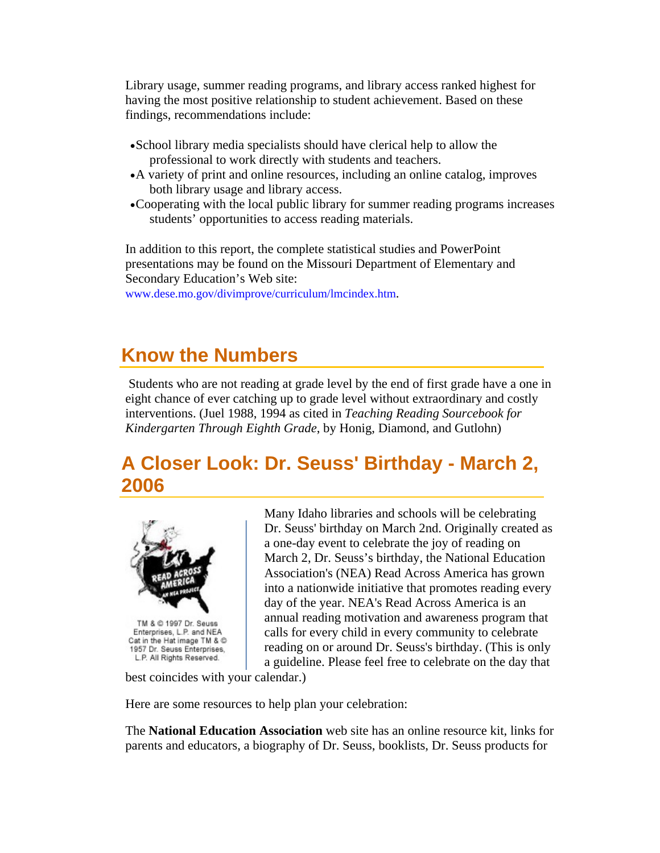<span id="page-12-0"></span>Library usage, summer reading programs, and library access ranked highest for having the most positive relationship to student achievement. Based on these findings, recommendations include:

- •School library media specialists should have clerical help to allow the professional to work directly with students and teachers.
- •A variety of print and online resources, including an online catalog, improves both library usage and library access.
- •Cooperating with the local public library for summer reading programs increases students' opportunities to access reading materials.

In addition to this report, the complete statistical studies and PowerPoint presentations may be found on the Missouri Department of Elementary and Secondary Education's Web site:

[www.dese.mo.gov/divimprove/curriculum/lmcindex.htm](http://www.dese.mo.gov/divimprove/curriculum/lmcindex.htm).

## **Know the Numbers**

 Students who are not reading at grade level by the end of first grade have a one in eight chance of ever catching up to grade level without extraordinary and costly interventions. (Juel 1988, 1994 as cited in *Teaching Reading Sourcebook for Kindergarten Through Eighth Grade*, by Honig, Diamond, and Gutlohn)

## **A Closer Look: Dr. Seuss' Birthday - March 2, 2006**



Many Idaho libraries and schools will be celebrating Dr. Seuss' birthday on March 2nd. Originally created as a one-day event to celebrate the joy of reading on March 2, Dr. Seuss's birthday, the National Education Association's (NEA) Read Across America has grown into a nationwide initiative that promotes reading every day of the year. NEA's Read Across America is an annual reading motivation and awareness program that calls for every child in every community to celebrate reading on or around Dr. Seuss's birthday. (This is only a guideline. Please feel free to celebrate on the day that

best coincides with your calendar.)

Here are some resources to help plan your celebration:

The **National Education Association** web site has an online resource kit, links for parents and educators, a biography of Dr. Seuss, booklists, Dr. Seuss products for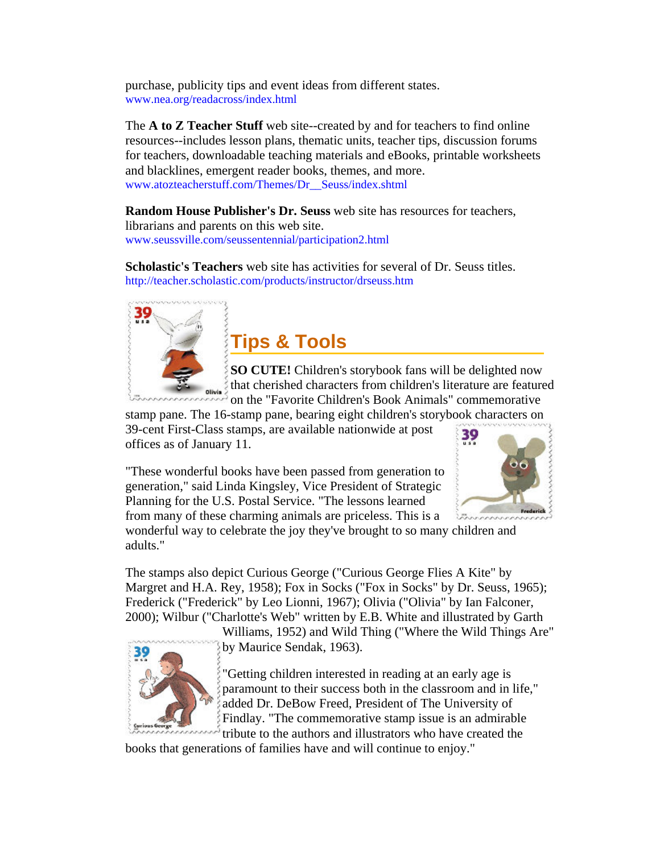<span id="page-13-0"></span>purchase, publicity tips and event ideas from different states. [www.nea.org/readacross/index.html](http://www.nea.org/readacross/index.html)

The **A to Z Teacher Stuff** web site--created by and for teachers to find online resources--includes lesson plans, thematic units, teacher tips, discussion forums for teachers, downloadable teaching materials and eBooks, printable worksheets and blacklines, emergent reader books, themes, and more. [www.atozteacherstuff.com/Themes/Dr\\_\\_Seuss/index.shtml](http://www.atozteacherstuff.com/Themes/Dr__Seuss/index.shtml)

**Random House Publisher's Dr. Seuss** web site has resources for teachers, librarians and parents on this web site. [www.seussville.com/seussentennial/participation2.html](http://www.seussville.com/seussentennial/participation2.html)

**Scholastic's Teachers** web site has activities for several of Dr. Seuss titles. <http://teacher.scholastic.com/products/instructor/drseuss.htm>



### **Tips & Tools**

**SO CUTE!** Children's storybook fans will be delighted now that cherished characters from children's literature are featured on the "Favorite Children's Book Animals" commemorative

stamp pane. The 16-stamp pane, bearing eight children's storybook characters on 39-cent First-Class stamps, are available nationwide at post

offices as of January 11.

"These wonderful books have been passed from generation to generation," said Linda Kingsley, Vice President of Strategic Planning for the U.S. Postal Service. "The lessons learned from many of these charming animals are priceless. This is a



wonderful way to celebrate the joy they've brought to so many children and adults."

The stamps also depict Curious George ("Curious George Flies A Kite" by Margret and H.A. Rey, 1958); Fox in Socks ("Fox in Socks" by Dr. Seuss, 1965); Frederick ("Frederick" by Leo Lionni, 1967); Olivia ("Olivia" by Ian Falconer, 2000); Wilbur ("Charlotte's Web" written by E.B. White and illustrated by Garth



Williams, 1952) and Wild Thing ("Where the Wild Things Are" by Maurice Sendak, 1963).

"Getting children interested in reading at an early age is paramount to their success both in the classroom and in life," added Dr. DeBow Freed, President of The University of Findlay. "The commemorative stamp issue is an admirable tribute to the authors and illustrators who have created the

books that generations of families have and will continue to enjoy."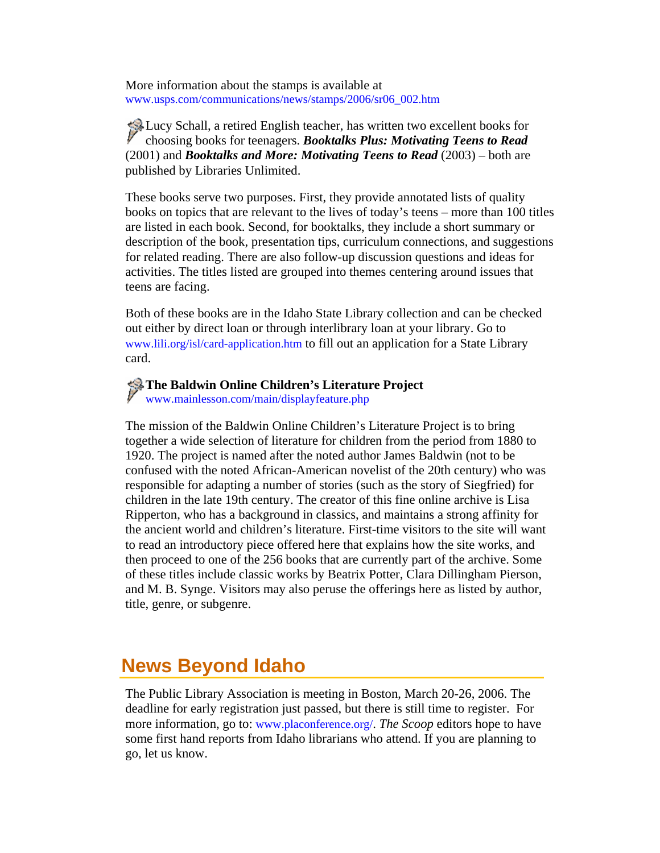<span id="page-14-0"></span>More information about the stamps is available at [www.usps.com/communications/news/stamps/2006/sr06\\_002.htm](http://www.usps.com/communications/news/stamps/2006/sr06_002.htm)

Lucy Schall, a retired English teacher, has written two excellent books for choosing books for teenagers. *Booktalks Plus: Motivating Teens to Read* (2001) and *Booktalks and More: Motivating Teens to Read* (2003) – both are published by Libraries Unlimited.

These books serve two purposes. First, they provide annotated lists of quality books on topics that are relevant to the lives of today's teens – more than 100 titles are listed in each book. Second, for booktalks, they include a short summary or description of the book, presentation tips, curriculum connections, and suggestions for related reading. There are also follow-up discussion questions and ideas for activities. The titles listed are grouped into themes centering around issues that teens are facing.

Both of these books are in the Idaho State Library collection and can be checked out either by direct loan or through interlibrary loan at your library. Go to [www.lili.org/isl/card-application.htm](http://www.lili.org/forms/card-application.htm) to fill out an application for a State Library card.

#### **The Baldwin Online Children's Literature Project**

[www.mainlesson.com/main/displayfeature.php](http://www.mainlesson.com/main/displayfeature.php) 

The mission of the Baldwin Online Children's Literature Project is to bring together a wide selection of literature for children from the period from 1880 to 1920. The project is named after the noted author James Baldwin (not to be confused with the noted African-American novelist of the 20th century) who was responsible for adapting a number of stories (such as the story of Siegfried) for children in the late 19th century. The creator of this fine online archive is Lisa Ripperton, who has a background in classics, and maintains a strong affinity for the ancient world and children's literature. First-time visitors to the site will want to read an introductory piece offered here that explains how the site works, and then proceed to one of the 256 books that are currently part of the archive. Some of these titles include classic works by Beatrix Potter, Clara Dillingham Pierson, and M. B. Synge. Visitors may also peruse the offerings here as listed by author, title, genre, or subgenre.

## **News Beyond Idaho**

The Public Library Association is meeting in Boston, March 20-26, 2006. The deadline for early registration just passed, but there is still time to register. For more information, go to: [www.placonference.org/](http://www.placonference.org/). *The Scoop* editors hope to have some first hand reports from Idaho librarians who attend. If you are planning to go, let us know.